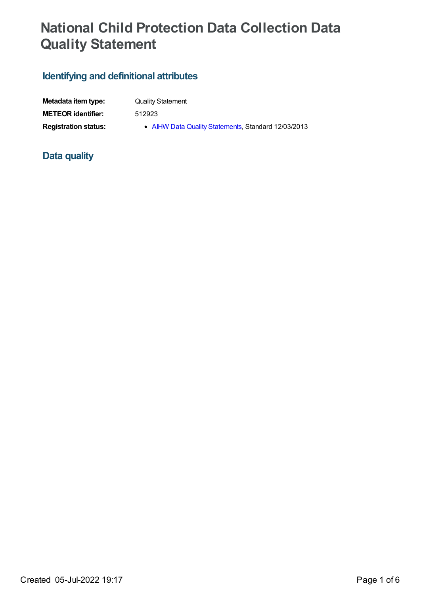# **National Child Protection Data Collection Data Quality Statement**

# **Identifying and definitional attributes**

| Metadata item type:         | <b>Quality Statement</b>                            |
|-----------------------------|-----------------------------------------------------|
| <b>METEOR identifier:</b>   | 512923                                              |
| <b>Registration status:</b> | • AIHW Data Quality Statements, Standard 12/03/2013 |

## **Data quality**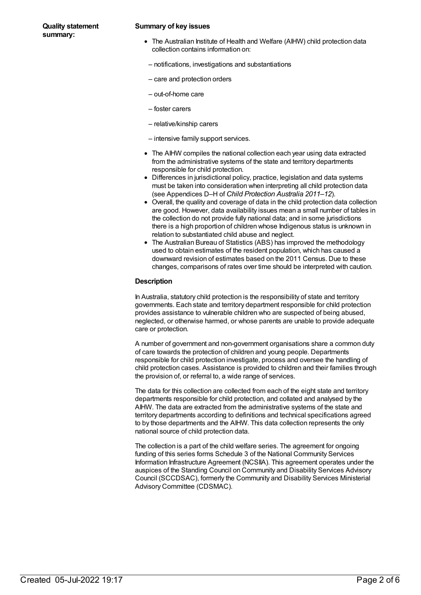#### **Quality statement summary:**

#### **Summary of key issues**

- The Australian Institute of Health and Welfare (AIHW) child protection data collection contains information on:
- notifications, investigations and substantiations
- care and protection orders
- out-of-home care
- foster carers
- relative/kinship carers
- intensive family support services.
- The AIHW compiles the national collection each year using data extracted from the administrative systems of the state and territory departments responsible for child protection.
- Differences in jurisdictional policy, practice, legislation and data systems must be taken into consideration when interpreting all child protection data (see Appendices D–H of *Child Protection Australia 2011–12*).
- Overall, the quality and coverage of data in the child protection data collection are good. However, data availability issues mean a small number of tables in the collection do not provide fully national data; and in some jurisdictions there is a high proportion of children whose Indigenous status is unknown in relation to substantiated child abuse and neglect.
- The Australian Bureau of Statistics (ABS) has improved the methodology used to obtain estimates of the resident population, which has caused a downward revision of estimates based on the 2011 Census. Due to these changes, comparisons of rates over time should be interpreted with caution.

#### **Description**

In Australia, statutory child protection is the responsibility of state and territory governments. Each state and territory department responsible for child protection provides assistance to vulnerable children who are suspected of being abused, neglected, or otherwise harmed, or whose parents are unable to provide adequate care or protection.

A number of government and non-government organisations share a common duty of care towards the protection of children and young people. Departments responsible for child protection investigate, process and oversee the handling of child protection cases. Assistance is provided to children and their families through the provision of, or referral to, a wide range of services.

The data for this collection are collected from each of the eight state and territory departments responsible for child protection, and collated and analysed by the AIHW. The data are extracted from the administrative systems of the state and territory departments according to definitions and technical specifications agreed to by those departments and the AIHW. This data collection represents the only national source of child protection data.

The collection is a part of the child welfare series. The agreement for ongoing funding of this series forms Schedule 3 of the National Community Services Information Infrastructure Agreement (NCSIIA). This agreement operates under the auspices of the Standing Council on Community and Disability Services Advisory Council (SCCDSAC), formerly the Community and Disability Services Ministerial Advisory Committee (CDSMAC).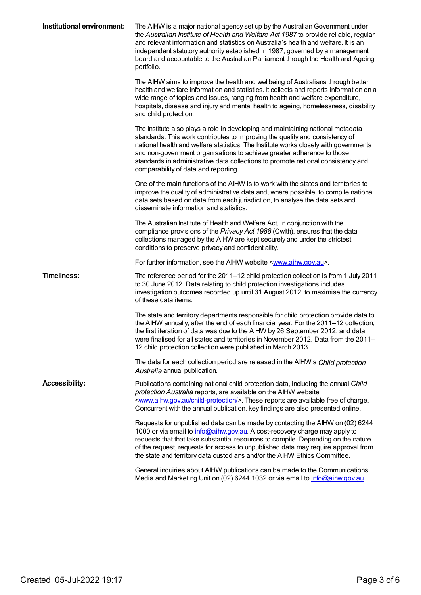| Institutional environment: | The AIHW is a major national agency set up by the Australian Government under<br>the Australian Institute of Health and Welfare Act 1987 to provide reliable, regular<br>and relevant information and statistics on Australia's health and welfare. It is an<br>independent statutory authority established in 1987, governed by a management<br>board and accountable to the Australian Parliament through the Health and Ageing<br>portfolio.               |
|----------------------------|---------------------------------------------------------------------------------------------------------------------------------------------------------------------------------------------------------------------------------------------------------------------------------------------------------------------------------------------------------------------------------------------------------------------------------------------------------------|
|                            | The AIHW aims to improve the health and wellbeing of Australians through better<br>health and welfare information and statistics. It collects and reports information on a<br>wide range of topics and issues, ranging from health and welfare expenditure,<br>hospitals, disease and injury and mental health to ageing, homelessness, disability<br>and child protection.                                                                                   |
|                            | The Institute also plays a role in developing and maintaining national metadata<br>standards. This work contributes to improving the quality and consistency of<br>national health and welfare statistics. The Institute works closely with governments<br>and non-government organisations to achieve greater adherence to those<br>standards in administrative data collections to promote national consistency and<br>comparability of data and reporting. |
|                            | One of the main functions of the AIHW is to work with the states and territories to<br>improve the quality of administrative data and, where possible, to compile national<br>data sets based on data from each jurisdiction, to analyse the data sets and<br>disseminate information and statistics.                                                                                                                                                         |
|                            | The Australian Institute of Health and Welfare Act, in conjunction with the<br>compliance provisions of the Privacy Act 1988 (Cwlth), ensures that the data<br>collections managed by the AIHW are kept securely and under the strictest<br>conditions to preserve privacy and confidentiality.                                                                                                                                                               |
|                            | For further information, see the AIHW website <www.aihw.gov.au>.</www.aihw.gov.au>                                                                                                                                                                                                                                                                                                                                                                            |
| <b>Timeliness:</b>         | The reference period for the 2011–12 child protection collection is from 1 July 2011<br>to 30 June 2012. Data relating to child protection investigations includes<br>investigation outcomes recorded up until 31 August 2012, to maximise the currency<br>of these data items.                                                                                                                                                                               |
|                            | The state and territory departments responsible for child protection provide data to<br>the AIHW annually, after the end of each financial year. For the 2011-12 collection,<br>the first iteration of data was due to the AIHW by 26 September 2012, and data<br>were finalised for all states and territories in November 2012. Data from the 2011–<br>12 child protection collection were published in March 2013.                                         |
|                            | The data for each collection period are released in the AIHW's Child protection<br>Australia annual publication.                                                                                                                                                                                                                                                                                                                                              |
| <b>Accessibility:</b>      | Publications containing national child protection data, including the annual Child<br>protection Australia reports, are available on the AIHW website<br><www.aihw.gov.au child-protection=""></www.aihw.gov.au> . These reports are available free of charge.<br>Concurrent with the annual publication, key findings are also presented online.                                                                                                             |
|                            | Requests for unpublished data can be made by contacting the AIHW on (02) 6244<br>1000 or via email to <i>info@aihw.gov.au</i> . A cost-recovery charge may apply to<br>requests that that take substantial resources to compile. Depending on the nature<br>of the request, requests for access to unpublished data may require approval from<br>the state and territory data custodians and/or the AIHW Ethics Committee.                                    |
|                            | General inquiries about AIHW publications can be made to the Communications,<br>Media and Marketing Unit on (02) 6244 1032 or via email to info@aihw.gov.au.                                                                                                                                                                                                                                                                                                  |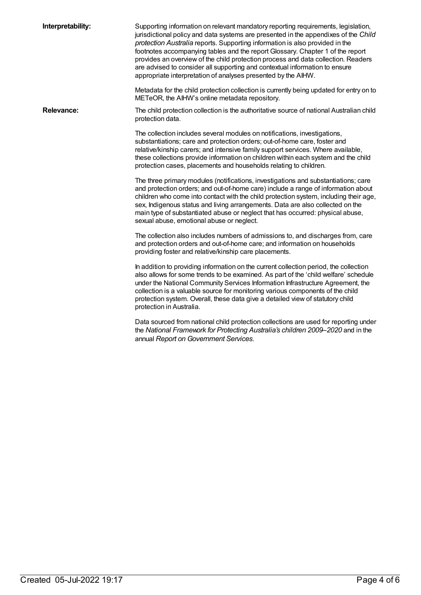| Interpretability: | Supporting information on relevant mandatory reporting requirements, legislation,<br>jurisdictional policy and data systems are presented in the appendixes of the Child<br>protection Australia reports. Supporting information is also provided in the<br>footnotes accompanying tables and the report Glossary. Chapter 1 of the report<br>provides an overview of the child protection process and data collection. Readers<br>are advised to consider all supporting and contextual information to ensure<br>appropriate interpretation of analyses presented by the AIHW. |
|-------------------|---------------------------------------------------------------------------------------------------------------------------------------------------------------------------------------------------------------------------------------------------------------------------------------------------------------------------------------------------------------------------------------------------------------------------------------------------------------------------------------------------------------------------------------------------------------------------------|
|                   | Metadata for the child protection collection is currently being updated for entry on to<br>METeOR, the AIHW's online metadata repository.                                                                                                                                                                                                                                                                                                                                                                                                                                       |
| <b>Relevance:</b> | The child protection collection is the authoritative source of national Australian child<br>protection data.                                                                                                                                                                                                                                                                                                                                                                                                                                                                    |
|                   | The collection includes several modules on notifications, investigations,<br>substantiations; care and protection orders; out-of-home care, foster and<br>relative/kinship carers; and intensive family support services. Where available,<br>these collections provide information on children within each system and the child<br>protection cases, placements and households relating to children.                                                                                                                                                                           |
|                   | The three primary modules (notifications, investigations and substantiations; care<br>and protection orders; and out-of-home care) include a range of information about<br>children who come into contact with the child protection system, including their age,<br>sex, Indigenous status and living arrangements. Data are also collected on the<br>main type of substantiated abuse or neglect that has occurred: physical abuse,<br>sexual abuse, emotional abuse or neglect.                                                                                               |
|                   | The collection also includes numbers of admissions to, and discharges from, care<br>and protection orders and out-of-home care; and information on households<br>providing foster and relative/kinship care placements.                                                                                                                                                                                                                                                                                                                                                         |
|                   | In addition to providing information on the current collection period, the collection<br>also allows for some trends to be examined. As part of the 'child welfare' schedule<br>under the National Community Services Information Infrastructure Agreement, the<br>collection is a valuable source for monitoring various components of the child<br>protection system. Overall, these data give a detailed view of statutory child<br>protection in Australia.                                                                                                                 |
|                   | Data sourced from national child protection collections are used for reporting under<br>the National Framework for Protecting Australia's children 2009-2020 and in the<br>annual Report on Government Services.                                                                                                                                                                                                                                                                                                                                                                |
|                   |                                                                                                                                                                                                                                                                                                                                                                                                                                                                                                                                                                                 |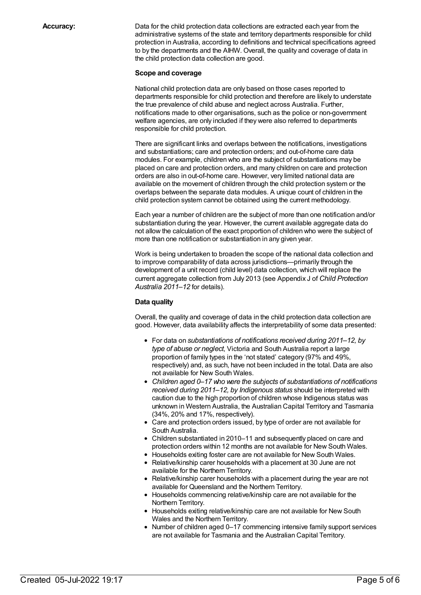**Accuracy:** Data for the child protection data collections are extracted each year from the administrative systems of the state and territory departments responsible for child protection in Australia, according to definitions and technical specifications agreed to by the departments and the AIHW. Overall, the quality and coverage of data in the child protection data collection are good.

#### **Scope and coverage**

National child protection data are only based on those cases reported to departments responsible for child protection and therefore are likely to understate the true prevalence of child abuse and neglect across Australia. Further, notifications made to other organisations, such as the police or non-government welfare agencies, are only included if they were also referred to departments responsible for child protection.

There are significant links and overlaps between the notifications, investigations and substantiations; care and protection orders; and out-of-home care data modules. For example, children who are the subject of substantiations may be placed on care and protection orders, and many children on care and protection orders are also in out-of-home care. However, very limited national data are available on the movement of children through the child protection system or the overlaps between the separate data modules. A unique count of children in the child protection system cannot be obtained using the current methodology.

Each year a number of children are the subject of more than one notification and/or substantiation during the year. However, the current available aggregate data do not allow the calculation of the exact proportion of children who were the subject of more than one notification or substantiation in any given year.

Work is being undertaken to broaden the scope of the national data collection and to improve comparability of data across jurisdictions—primarily through the development of a unit record (child level) data collection, which will replace the current aggregate collection from July 2013 (see Appendix J of *Child Protection Australia 2011–12* for details).

#### **Data quality**

Overall, the quality and coverage of data in the child protection data collection are good. However, data availability affects the interpretability of some data presented:

- For data on *substantiations of notifications received during 2011–12, by type of abuse or neglect*, Victoria and South Australia report a large proportion of family types in the 'not stated' category (97% and 49%, respectively) and, as such, have not been included in the total. Data are also not available for New South Wales.
- *Children aged 0–17 who were the subjects of substantiations of notifications received during 2011–12, by Indigenous status* should be interpreted with caution due to the high proportion of children whose Indigenous status was unknown in Western Australia, the Australian Capital Territory and Tasmania (34%, 20% and 17%, respectively).
- Care and protection orders issued, by type of order are not available for South Australia.
- Children substantiated in 2010–11 and subsequently placed on care and protection orders within 12 months are not available for New South Wales.
- Households exiting foster care are not available for New South Wales.
- Relative/kinship carer households with a placement at 30 June are not available for the Northern Territory.
- Relative/kinship carer households with a placement during the year are not available for Queensland and the Northern Territory.
- Households commencing relative/kinship care are not available for the Northern Territory.
- Households exiting relative/kinship care are not available for New South Wales and the Northern Territory.
- Number of children aged 0–17 commencing intensive family support services are not available for Tasmania and the Australian Capital Territory.